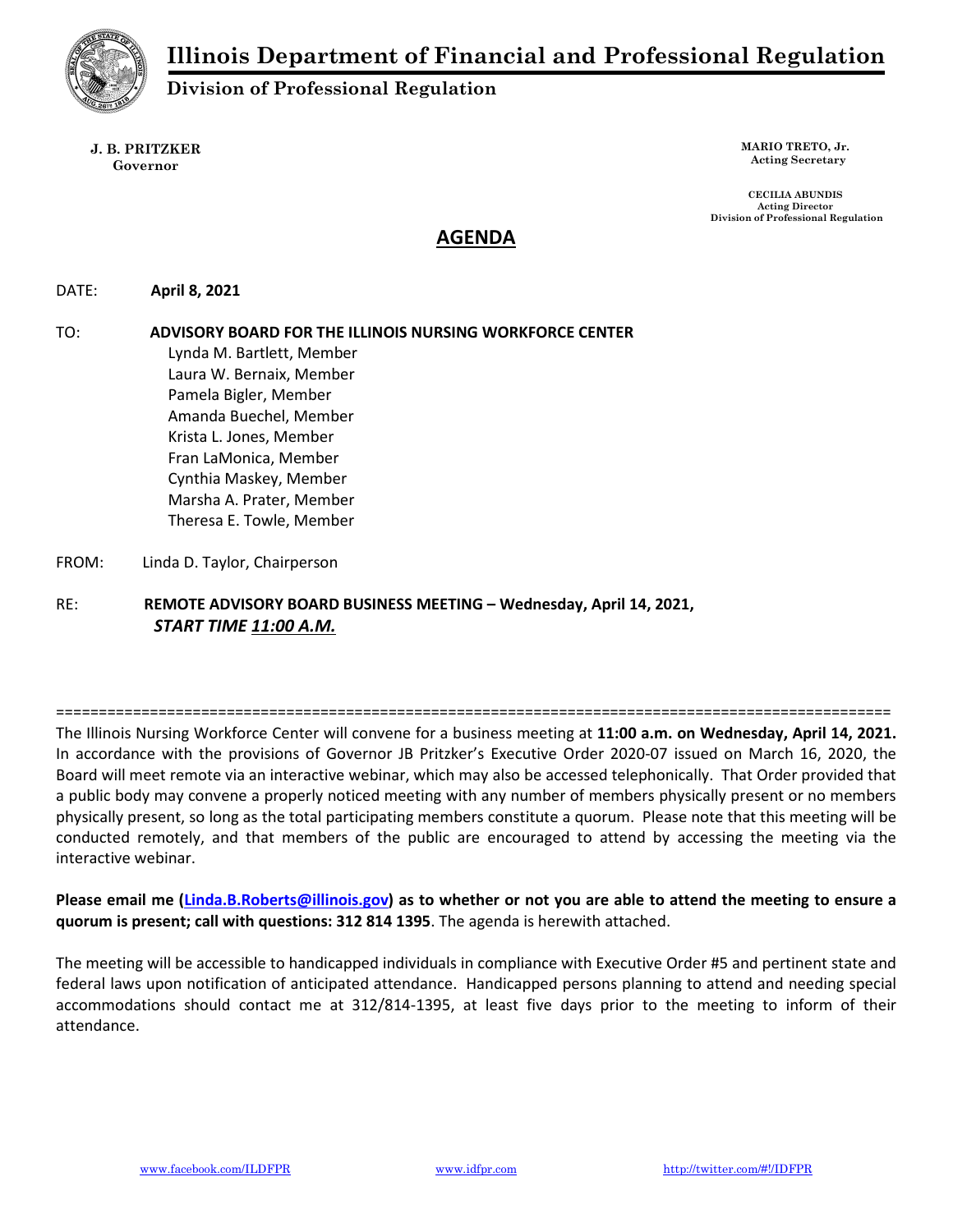

Division of Professional Regulation

J. B. PRITZKER Governor

MARIO TRETO, Jr. Acting Secretary

CECILIA ABUNDIS Acting Director Division of Professional Regulation

# AGENDA

DATE: April 8, 2021

TO: ADVISORY BOARD FOR THE ILLINOIS NURSING WORKFORCE CENTER Lynda M. Bartlett, Member Laura W. Bernaix, Member Pamela Bigler, Member Amanda Buechel, Member Krista L. Jones, Member Fran LaMonica, Member Cynthia Maskey, Member Marsha A. Prater, Member Theresa E. Towle, Member

FROM: Linda D. Taylor, Chairperson

RE: REMOTE ADVISORY BOARD BUSINESS MEETING – Wednesday, April 14, 2021, START TIME 11:00 A.M.

==================================================================================================

The Illinois Nursing Workforce Center will convene for a business meeting at 11:00 a.m. on Wednesday, April 14, 2021. In accordance with the provisions of Governor JB Pritzker's Executive Order 2020-07 issued on March 16, 2020, the Board will meet remote via an interactive webinar, which may also be accessed telephonically. That Order provided that a public body may convene a properly noticed meeting with any number of members physically present or no members physically present, so long as the total participating members constitute a quorum. Please note that this meeting will be conducted remotely, and that members of the public are encouraged to attend by accessing the meeting via the interactive webinar.

Please email me (Linda.B.Roberts@illinois.gov) as to whether or not you are able to attend the meeting to ensure a quorum is present; call with questions: 312 814 1395. The agenda is herewith attached.

The meeting will be accessible to handicapped individuals in compliance with Executive Order #5 and pertinent state and federal laws upon notification of anticipated attendance. Handicapped persons planning to attend and needing special accommodations should contact me at 312/814-1395, at least five days prior to the meeting to inform of their attendance.